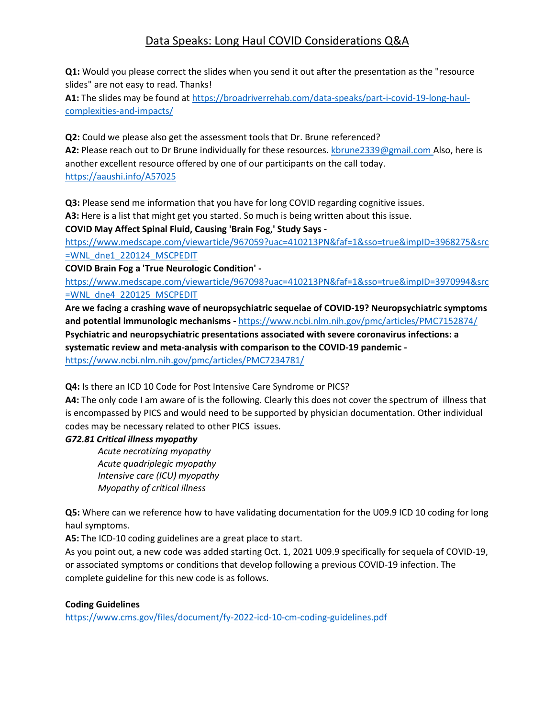# Data Speaks: Long Haul COVID Considerations Q&A

**Q1:** Would you please correct the slides when you send it out after the presentation as the "resource slides" are not easy to read. Thanks!

**A1:** The slides may be found at [https://broadriverrehab.com/data-speaks/part-i-covid-19-long-haul](https://broadriverrehab.com/data-speaks/part-i-covid-19-long-haul-complexities-and-impacts/)[complexities-and-impacts/](https://broadriverrehab.com/data-speaks/part-i-covid-19-long-haul-complexities-and-impacts/)

**Q2:** Could we please also get the assessment tools that Dr. Brune referenced? **A2:** Please reach out to Dr Brune individually for these resources. [kbrune2339@gmail.com](mailto:kbrune2339@gmail.com) Also, here is another excellent resource offered by one of our participants on the call today. <https://aaushi.info/A57025>

**Q3:** Please send me information that you have for long COVID regarding cognitive issues.

**A3:** Here is a list that might get you started. So much is being written about this issue.

**COVID May Affect Spinal Fluid, Causing 'Brain Fog,' Study Says -**

[https://www.medscape.com/viewarticle/967059?uac=410213PN&faf=1&sso=true&impID=3968275&src](https://www.medscape.com/viewarticle/967059?uac=410213PN&faf=1&sso=true&impID=3968275&src=WNL_dne1_220124_MSCPEDIT) [=WNL\\_dne1\\_220124\\_MSCPEDIT](https://www.medscape.com/viewarticle/967059?uac=410213PN&faf=1&sso=true&impID=3968275&src=WNL_dne1_220124_MSCPEDIT)

**COVID Brain Fog a 'True Neurologic Condition' -**

[https://www.medscape.com/viewarticle/967098?uac=410213PN&faf=1&sso=true&impID=3970994&src](https://www.medscape.com/viewarticle/967098?uac=410213PN&faf=1&sso=true&impID=3970994&src=WNL_dne4_220125_MSCPEDIT) [=WNL\\_dne4\\_220125\\_MSCPEDIT](https://www.medscape.com/viewarticle/967098?uac=410213PN&faf=1&sso=true&impID=3970994&src=WNL_dne4_220125_MSCPEDIT)

**Are we facing a crashing wave of neuropsychiatric sequelae of COVID-19? Neuropsychiatric symptoms and potential immunologic mechanisms -** <https://www.ncbi.nlm.nih.gov/pmc/articles/PMC7152874/> **Psychiatric and neuropsychiatric presentations associated with severe coronavirus infections: a systematic review and meta-analysis with comparison to the COVID-19 pandemic**  <https://www.ncbi.nlm.nih.gov/pmc/articles/PMC7234781/>

**Q4:** Is there an ICD 10 Code for Post Intensive Care Syndrome or PICS?

**A4:** The only code I am aware of is the following. Clearly this does not cover the spectrum of illness that is encompassed by PICS and would need to be supported by physician documentation. Other individual codes may be necessary related to other PICS issues.

## *G72.81 Critical illness myopathy*

*Acute necrotizing myopathy Acute quadriplegic myopathy Intensive care (ICU) myopathy Myopathy of critical illness*

**Q5:** Where can we reference how to have validating documentation for the U09.9 ICD 10 coding for long haul symptoms.

**A5:** The ICD-10 coding guidelines are a great place to start.

As you point out, a new code was added starting Oct. 1, 2021 U09.9 specifically for sequela of COVID-19, or associated symptoms or conditions that develop following a previous COVID-19 infection. The complete guideline for this new code is as follows.

## **Coding Guidelines**

<https://www.cms.gov/files/document/fy-2022-icd-10-cm-coding-guidelines.pdf>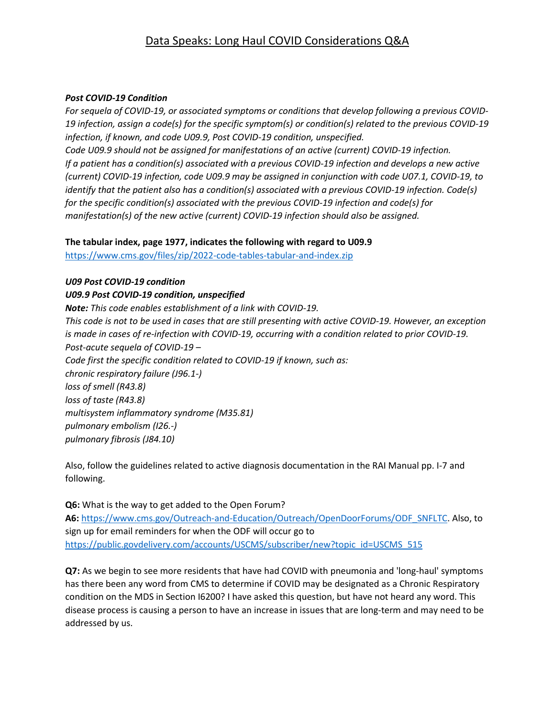## Data Speaks: Long Haul COVID Considerations Q&A

#### *Post COVID-19 Condition*

*For sequela of COVID-19, or associated symptoms or conditions that develop following a previous COVID-19 infection, assign a code(s) for the specific symptom(s) or condition(s) related to the previous COVID-19 infection, if known, and code U09.9, Post COVID-19 condition, unspecified.*

*Code U09.9 should not be assigned for manifestations of an active (current) COVID-19 infection. If a patient has a condition(s) associated with a previous COVID-19 infection and develops a new active (current) COVID-19 infection, code U09.9 may be assigned in conjunction with code U07.1, COVID-19, to identify that the patient also has a condition(s) associated with a previous COVID-19 infection. Code(s) for the specific condition(s) associated with the previous COVID-19 infection and code(s) for manifestation(s) of the new active (current) COVID-19 infection should also be assigned.*

### **The tabular index, page 1977, indicates the following with regard to U09.9**

<https://www.cms.gov/files/zip/2022-code-tables-tabular-and-index.zip>

### *U09 Post COVID-19 condition*

## *U09.9 Post COVID-19 condition, unspecified*

*Note: This code enables establishment of a link with COVID-19. This code is not to be used in cases that are still presenting with active COVID-19. However, an exception is made in cases of re-infection with COVID-19, occurring with a condition related to prior COVID-19. Post-acute sequela of COVID-19 – Code first the specific condition related to COVID-19 if known, such as: chronic respiratory failure (J96.1-) loss of smell (R43.8) loss of taste (R43.8) multisystem inflammatory syndrome (M35.81) pulmonary embolism (I26.-) pulmonary fibrosis (J84.10)*

Also, follow the guidelines related to active diagnosis documentation in the RAI Manual pp. I-7 and following.

**Q6:** What is the way to get added to the Open Forum? **A6:** [https://www.cms.gov/Outreach-and-Education/Outreach/OpenDoorForums/ODF\\_SNFLTC.](https://www.cms.gov/Outreach-and-Education/Outreach/OpenDoorForums/ODF_SNFLTC) Also, to sign up for email reminders for when the ODF will occur go to [https://public.govdelivery.com/accounts/USCMS/subscriber/new?topic\\_id=USCMS\\_515](https://public.govdelivery.com/accounts/USCMS/subscriber/new?topic_id=USCMS_515)

**Q7:** As we begin to see more residents that have had COVID with pneumonia and 'long-haul' symptoms has there been any word from CMS to determine if COVID may be designated as a Chronic Respiratory condition on the MDS in Section I6200? I have asked this question, but have not heard any word. This disease process is causing a person to have an increase in issues that are long-term and may need to be addressed by us.